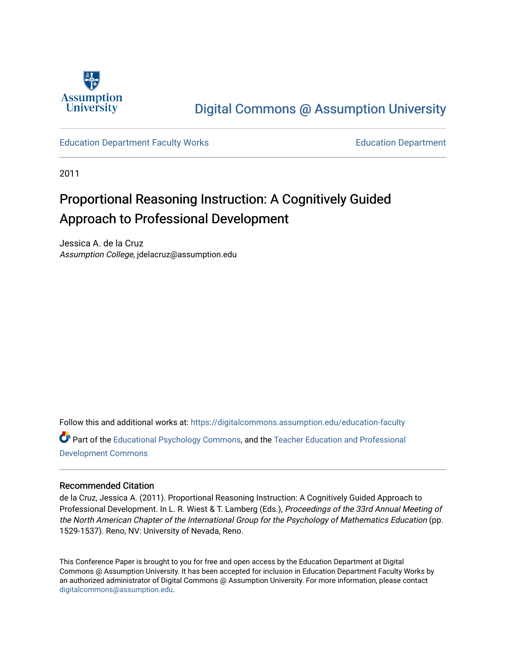

## [Digital Commons @ Assumption University](https://digitalcommons.assumption.edu/)

#### [Education Department Faculty Works](https://digitalcommons.assumption.edu/education-faculty) [Education Department](https://digitalcommons.assumption.edu/education)

2011

# Proportional Reasoning Instruction: A Cognitively Guided Approach to Professional Development

Jessica A. de la Cruz Assumption College, jdelacruz@assumption.edu

Follow this and additional works at: [https://digitalcommons.assumption.edu/education-faculty](https://digitalcommons.assumption.edu/education-faculty?utm_source=digitalcommons.assumption.edu%2Feducation-faculty%2F5&utm_medium=PDF&utm_campaign=PDFCoverPages) 

Part of the [Educational Psychology Commons,](http://network.bepress.com/hgg/discipline/798?utm_source=digitalcommons.assumption.edu%2Feducation-faculty%2F5&utm_medium=PDF&utm_campaign=PDFCoverPages) and the [Teacher Education and Professional](http://network.bepress.com/hgg/discipline/803?utm_source=digitalcommons.assumption.edu%2Feducation-faculty%2F5&utm_medium=PDF&utm_campaign=PDFCoverPages) [Development Commons](http://network.bepress.com/hgg/discipline/803?utm_source=digitalcommons.assumption.edu%2Feducation-faculty%2F5&utm_medium=PDF&utm_campaign=PDFCoverPages) 

#### Recommended Citation

de la Cruz, Jessica A. (2011). Proportional Reasoning Instruction: A Cognitively Guided Approach to Professional Development. In L. R. Wiest & T. Lamberg (Eds.), Proceedings of the 33rd Annual Meeting of the North American Chapter of the International Group for the Psychology of Mathematics Education (pp. 1529-1537). Reno, NV: University of Nevada, Reno.

This Conference Paper is brought to you for free and open access by the Education Department at Digital Commons @ Assumption University. It has been accepted for inclusion in Education Department Faculty Works by an authorized administrator of Digital Commons @ Assumption University. For more information, please contact [digitalcommons@assumption.edu](mailto:digitalcommons@assumption.edu).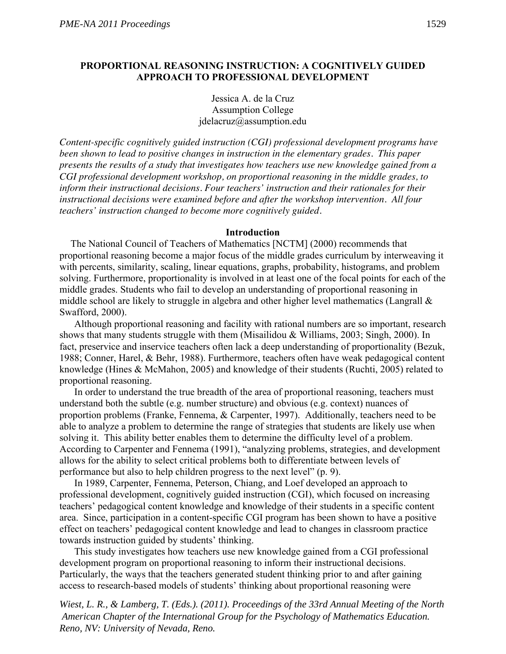## **PROPORTIONAL REASONING INSTRUCTION: A COGNITIVELY GUIDED APPROACH TO PROFESSIONAL DEVELOPMENT**

Jessica A. de la Cruz Assumption College jdelacruz@assumption.edu

*Content-specific cognitively guided instruction (CGI) professional development programs have been shown to lead to positive changes in instruction in the elementary grades. This paper presents the results of a study that investigates how teachers use new knowledge gained from a CGI professional development workshop, on proportional reasoning in the middle grades, to inform their instructional decisions. Four teachers' instruction and their rationales for their instructional decisions were examined before and after the workshop intervention. All four teachers' instruction changed to become more cognitively guided.* 

#### **Introduction**

The National Council of Teachers of Mathematics [NCTM] (2000) recommends that proportional reasoning become a major focus of the middle grades curriculum by interweaving it with percents, similarity, scaling, linear equations, graphs, probability, histograms, and problem solving. Furthermore, proportionality is involved in at least one of the focal points for each of the middle grades. Students who fail to develop an understanding of proportional reasoning in middle school are likely to struggle in algebra and other higher level mathematics (Langrall & Swafford, 2000).

Although proportional reasoning and facility with rational numbers are so important, research shows that many students struggle with them (Misailidou & Williams, 2003; Singh, 2000). In fact, preservice and inservice teachers often lack a deep understanding of proportionality (Bezuk, 1988; Conner, Harel, & Behr, 1988). Furthermore, teachers often have weak pedagogical content knowledge (Hines & McMahon, 2005) and knowledge of their students (Ruchti, 2005) related to proportional reasoning.

In order to understand the true breadth of the area of proportional reasoning, teachers must understand both the subtle (e.g. number structure) and obvious (e.g. context) nuances of proportion problems (Franke, Fennema, & Carpenter, 1997). Additionally, teachers need to be able to analyze a problem to determine the range of strategies that students are likely use when solving it. This ability better enables them to determine the difficulty level of a problem. According to Carpenter and Fennema (1991), "analyzing problems, strategies, and development allows for the ability to select critical problems both to differentiate between levels of performance but also to help children progress to the next level" (p. 9).

In 1989, Carpenter, Fennema, Peterson, Chiang, and Loef developed an approach to professional development, cognitively guided instruction (CGI), which focused on increasing teachers' pedagogical content knowledge and knowledge of their students in a specific content area. Since, participation in a content-specific CGI program has been shown to have a positive effect on teachers' pedagogical content knowledge and lead to changes in classroom practice towards instruction guided by students' thinking.

This study investigates how teachers use new knowledge gained from a CGI professional development program on proportional reasoning to inform their instructional decisions. Particularly, the ways that the teachers generated student thinking prior to and after gaining access to research-based models of students' thinking about proportional reasoning were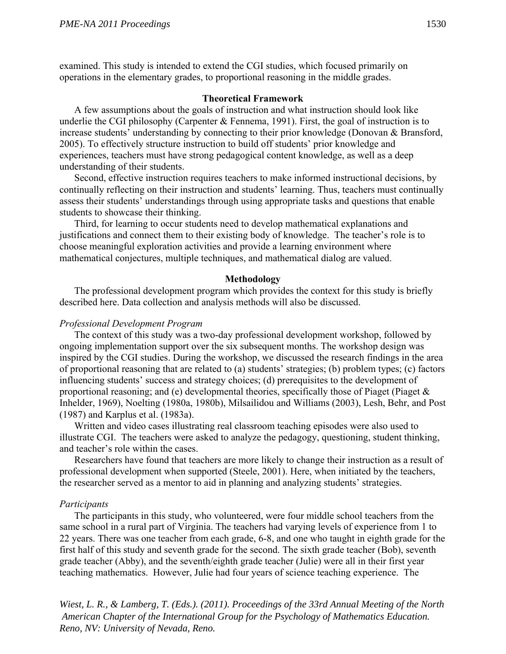examined. This study is intended to extend the CGI studies, which focused primarily on operations in the elementary grades, to proportional reasoning in the middle grades.

#### **Theoretical Framework**

A few assumptions about the goals of instruction and what instruction should look like underlie the CGI philosophy (Carpenter  $&$  Fennema, 1991). First, the goal of instruction is to increase students' understanding by connecting to their prior knowledge (Donovan & Bransford, 2005). To effectively structure instruction to build off students' prior knowledge and experiences, teachers must have strong pedagogical content knowledge, as well as a deep understanding of their students.

Second, effective instruction requires teachers to make informed instructional decisions, by continually reflecting on their instruction and students' learning. Thus, teachers must continually assess their students' understandings through using appropriate tasks and questions that enable students to showcase their thinking.

Third, for learning to occur students need to develop mathematical explanations and justifications and connect them to their existing body of knowledge. The teacher's role is to choose meaningful exploration activities and provide a learning environment where mathematical conjectures, multiple techniques, and mathematical dialog are valued.

#### **Methodology**

The professional development program which provides the context for this study is briefly described here. Data collection and analysis methods will also be discussed.

#### *Professional Development Program*

The context of this study was a two-day professional development workshop, followed by ongoing implementation support over the six subsequent months. The workshop design was inspired by the CGI studies. During the workshop, we discussed the research findings in the area of proportional reasoning that are related to (a) students' strategies; (b) problem types; (c) factors influencing students' success and strategy choices; (d) prerequisites to the development of proportional reasoning; and (e) developmental theories, specifically those of Piaget (Piaget  $\&$ Inhelder, 1969), Noelting (1980a, 1980b), Milsailidou and Williams (2003), Lesh, Behr, and Post (1987) and Karplus et al. (1983a).

Written and video cases illustrating real classroom teaching episodes were also used to illustrate CGI. The teachers were asked to analyze the pedagogy, questioning, student thinking, and teacher's role within the cases.

Researchers have found that teachers are more likely to change their instruction as a result of professional development when supported (Steele, 2001). Here, when initiated by the teachers, the researcher served as a mentor to aid in planning and analyzing students' strategies.

#### *Participants*

The participants in this study, who volunteered, were four middle school teachers from the same school in a rural part of Virginia. The teachers had varying levels of experience from 1 to 22 years. There was one teacher from each grade, 6-8, and one who taught in eighth grade for the first half of this study and seventh grade for the second. The sixth grade teacher (Bob), seventh grade teacher (Abby), and the seventh/eighth grade teacher (Julie) were all in their first year teaching mathematics. However, Julie had four years of science teaching experience. The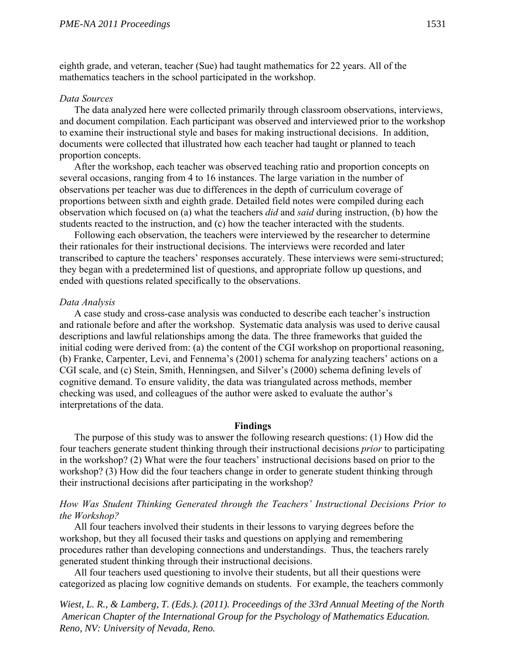eighth grade, and veteran, teacher (Sue) had taught mathematics for 22 years. All of the mathematics teachers in the school participated in the workshop.

#### *Data Sources*

The data analyzed here were collected primarily through classroom observations, interviews, and document compilation. Each participant was observed and interviewed prior to the workshop to examine their instructional style and bases for making instructional decisions. In addition, documents were collected that illustrated how each teacher had taught or planned to teach proportion concepts.

After the workshop, each teacher was observed teaching ratio and proportion concepts on several occasions, ranging from 4 to 16 instances. The large variation in the number of observations per teacher was due to differences in the depth of curriculum coverage of proportions between sixth and eighth grade. Detailed field notes were compiled during each observation which focused on (a) what the teachers *did* and *said* during instruction, (b) how the students reacted to the instruction, and (c) how the teacher interacted with the students.

Following each observation, the teachers were interviewed by the researcher to determine their rationales for their instructional decisions. The interviews were recorded and later transcribed to capture the teachers' responses accurately. These interviews were semi-structured; they began with a predetermined list of questions, and appropriate follow up questions, and ended with questions related specifically to the observations.

#### *Data Analysis*

A case study and cross-case analysis was conducted to describe each teacher's instruction and rationale before and after the workshop. Systematic data analysis was used to derive causal descriptions and lawful relationships among the data. The three frameworks that guided the initial coding were derived from: (a) the content of the CGI workshop on proportional reasoning, (b) Franke, Carpenter, Levi, and Fennema's (2001) schema for analyzing teachers' actions on a CGI scale, and (c) Stein, Smith, Henningsen, and Silver's (2000) schema defining levels of cognitive demand. To ensure validity, the data was triangulated across methods, member checking was used, and colleagues of the author were asked to evaluate the author's interpretations of the data.

#### **Findings**

The purpose of this study was to answer the following research questions: (1) How did the four teachers generate student thinking through their instructional decisions *prior* to participating in the workshop? (2) What were the four teachers' instructional decisions based on prior to the workshop? (3) How did the four teachers change in order to generate student thinking through their instructional decisions after participating in the workshop?

## *How Was Student Thinking Generated through the Teachers' Instructional Decisions Prior to the Workshop?*

All four teachers involved their students in their lessons to varying degrees before the workshop, but they all focused their tasks and questions on applying and remembering procedures rather than developing connections and understandings. Thus, the teachers rarely generated student thinking through their instructional decisions.

All four teachers used questioning to involve their students, but all their questions were categorized as placing low cognitive demands on students. For example, the teachers commonly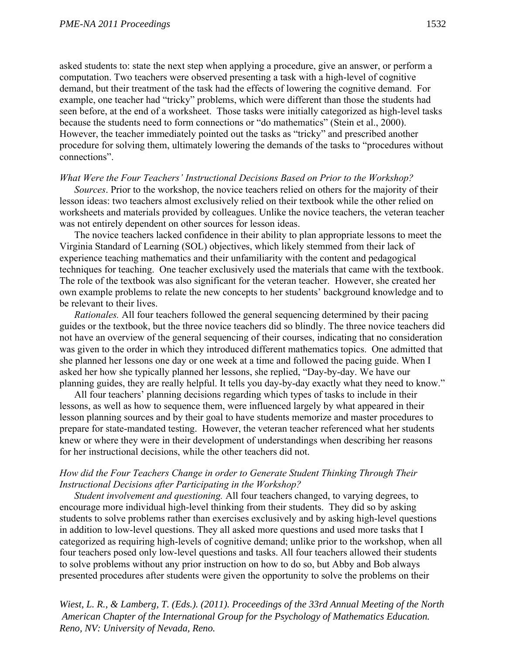asked students to: state the next step when applying a procedure, give an answer, or perform a computation. Two teachers were observed presenting a task with a high-level of cognitive demand, but their treatment of the task had the effects of lowering the cognitive demand. For example, one teacher had "tricky" problems, which were different than those the students had seen before, at the end of a worksheet. Those tasks were initially categorized as high-level tasks because the students need to form connections or "do mathematics" (Stein et al., 2000). However, the teacher immediately pointed out the tasks as "tricky" and prescribed another procedure for solving them, ultimately lowering the demands of the tasks to "procedures without connections".

#### *What Were the Four Teachers' Instructional Decisions Based on Prior to the Workshop?*

*Sources*. Prior to the workshop, the novice teachers relied on others for the majority of their lesson ideas: two teachers almost exclusively relied on their textbook while the other relied on worksheets and materials provided by colleagues. Unlike the novice teachers, the veteran teacher was not entirely dependent on other sources for lesson ideas.

The novice teachers lacked confidence in their ability to plan appropriate lessons to meet the Virginia Standard of Learning (SOL) objectives, which likely stemmed from their lack of experience teaching mathematics and their unfamiliarity with the content and pedagogical techniques for teaching. One teacher exclusively used the materials that came with the textbook. The role of the textbook was also significant for the veteran teacher. However, she created her own example problems to relate the new concepts to her students' background knowledge and to be relevant to their lives.

*Rationales.* All four teachers followed the general sequencing determined by their pacing guides or the textbook, but the three novice teachers did so blindly. The three novice teachers did not have an overview of the general sequencing of their courses, indicating that no consideration was given to the order in which they introduced different mathematics topics. One admitted that she planned her lessons one day or one week at a time and followed the pacing guide. When I asked her how she typically planned her lessons, she replied, "Day-by-day. We have our planning guides, they are really helpful. It tells you day-by-day exactly what they need to know."

All four teachers' planning decisions regarding which types of tasks to include in their lessons, as well as how to sequence them, were influenced largely by what appeared in their lesson planning sources and by their goal to have students memorize and master procedures to prepare for state-mandated testing. However, the veteran teacher referenced what her students knew or where they were in their development of understandings when describing her reasons for her instructional decisions, while the other teachers did not.

## *How did the Four Teachers Change in order to Generate Student Thinking Through Their Instructional Decisions after Participating in the Workshop?*

*Student involvement and questioning.* All four teachers changed, to varying degrees, to encourage more individual high-level thinking from their students. They did so by asking students to solve problems rather than exercises exclusively and by asking high-level questions in addition to low-level questions. They all asked more questions and used more tasks that I categorized as requiring high-levels of cognitive demand; unlike prior to the workshop, when all four teachers posed only low-level questions and tasks. All four teachers allowed their students to solve problems without any prior instruction on how to do so, but Abby and Bob always presented procedures after students were given the opportunity to solve the problems on their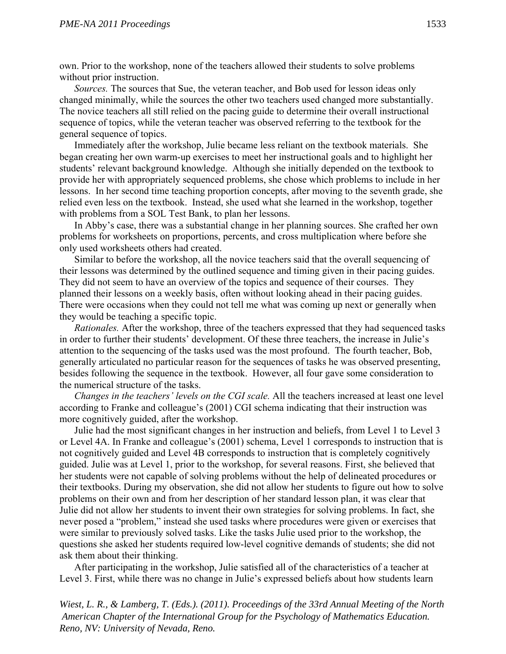own. Prior to the workshop, none of the teachers allowed their students to solve problems without prior instruction.

*Sources.* The sources that Sue, the veteran teacher, and Bob used for lesson ideas only changed minimally, while the sources the other two teachers used changed more substantially. The novice teachers all still relied on the pacing guide to determine their overall instructional sequence of topics, while the veteran teacher was observed referring to the textbook for the general sequence of topics.

Immediately after the workshop, Julie became less reliant on the textbook materials. She began creating her own warm-up exercises to meet her instructional goals and to highlight her students' relevant background knowledge. Although she initially depended on the textbook to provide her with appropriately sequenced problems, she chose which problems to include in her lessons. In her second time teaching proportion concepts, after moving to the seventh grade, she relied even less on the textbook. Instead, she used what she learned in the workshop, together with problems from a SOL Test Bank, to plan her lessons.

In Abby's case, there was a substantial change in her planning sources. She crafted her own problems for worksheets on proportions, percents, and cross multiplication where before she only used worksheets others had created.

Similar to before the workshop, all the novice teachers said that the overall sequencing of their lessons was determined by the outlined sequence and timing given in their pacing guides. They did not seem to have an overview of the topics and sequence of their courses. They planned their lessons on a weekly basis, often without looking ahead in their pacing guides. There were occasions when they could not tell me what was coming up next or generally when they would be teaching a specific topic.

*Rationales.* After the workshop, three of the teachers expressed that they had sequenced tasks in order to further their students' development. Of these three teachers, the increase in Julie's attention to the sequencing of the tasks used was the most profound. The fourth teacher, Bob, generally articulated no particular reason for the sequences of tasks he was observed presenting, besides following the sequence in the textbook. However, all four gave some consideration to the numerical structure of the tasks.

*Changes in the teachers' levels on the CGI scale.* All the teachers increased at least one level according to Franke and colleague's (2001) CGI schema indicating that their instruction was more cognitively guided, after the workshop.

Julie had the most significant changes in her instruction and beliefs, from Level 1 to Level 3 or Level 4A. In Franke and colleague's (2001) schema, Level 1 corresponds to instruction that is not cognitively guided and Level 4B corresponds to instruction that is completely cognitively guided. Julie was at Level 1, prior to the workshop, for several reasons. First, she believed that her students were not capable of solving problems without the help of delineated procedures or their textbooks. During my observation, she did not allow her students to figure out how to solve problems on their own and from her description of her standard lesson plan, it was clear that Julie did not allow her students to invent their own strategies for solving problems. In fact, she never posed a "problem," instead she used tasks where procedures were given or exercises that were similar to previously solved tasks. Like the tasks Julie used prior to the workshop, the questions she asked her students required low-level cognitive demands of students; she did not ask them about their thinking.

After participating in the workshop, Julie satisfied all of the characteristics of a teacher at Level 3. First, while there was no change in Julie's expressed beliefs about how students learn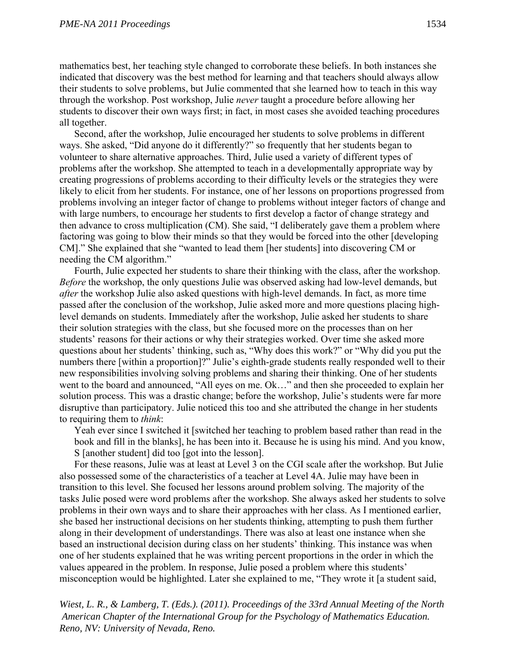mathematics best, her teaching style changed to corroborate these beliefs. In both instances she indicated that discovery was the best method for learning and that teachers should always allow their students to solve problems, but Julie commented that she learned how to teach in this way through the workshop. Post workshop, Julie *never* taught a procedure before allowing her students to discover their own ways first; in fact, in most cases she avoided teaching procedures all together.

Second, after the workshop, Julie encouraged her students to solve problems in different ways. She asked, "Did anyone do it differently?" so frequently that her students began to volunteer to share alternative approaches. Third, Julie used a variety of different types of problems after the workshop. She attempted to teach in a developmentally appropriate way by creating progressions of problems according to their difficulty levels or the strategies they were likely to elicit from her students. For instance, one of her lessons on proportions progressed from problems involving an integer factor of change to problems without integer factors of change and with large numbers, to encourage her students to first develop a factor of change strategy and then advance to cross multiplication (CM). She said, "I deliberately gave them a problem where factoring was going to blow their minds so that they would be forced into the other [developing CM]." She explained that she "wanted to lead them [her students] into discovering CM or needing the CM algorithm."

Fourth, Julie expected her students to share their thinking with the class, after the workshop. *Before* the workshop, the only questions Julie was observed asking had low-level demands, but *after* the workshop Julie also asked questions with high-level demands. In fact, as more time passed after the conclusion of the workshop, Julie asked more and more questions placing highlevel demands on students. Immediately after the workshop, Julie asked her students to share their solution strategies with the class, but she focused more on the processes than on her students' reasons for their actions or why their strategies worked. Over time she asked more questions about her students' thinking, such as, "Why does this work?" or "Why did you put the numbers there [within a proportion]?" Julie's eighth-grade students really responded well to their new responsibilities involving solving problems and sharing their thinking. One of her students went to the board and announced, "All eyes on me. Ok…" and then she proceeded to explain her solution process. This was a drastic change; before the workshop, Julie's students were far more disruptive than participatory. Julie noticed this too and she attributed the change in her students to requiring them to *think*:

Yeah ever since I switched it [switched her teaching to problem based rather than read in the book and fill in the blanks], he has been into it. Because he is using his mind. And you know, S [another student] did too [got into the lesson].

For these reasons, Julie was at least at Level 3 on the CGI scale after the workshop. But Julie also possessed some of the characteristics of a teacher at Level 4A. Julie may have been in transition to this level. She focused her lessons around problem solving. The majority of the tasks Julie posed were word problems after the workshop. She always asked her students to solve problems in their own ways and to share their approaches with her class. As I mentioned earlier, she based her instructional decisions on her students thinking, attempting to push them further along in their development of understandings. There was also at least one instance when she based an instructional decision during class on her students' thinking. This instance was when one of her students explained that he was writing percent proportions in the order in which the values appeared in the problem. In response, Julie posed a problem where this students' misconception would be highlighted. Later she explained to me, "They wrote it [a student said,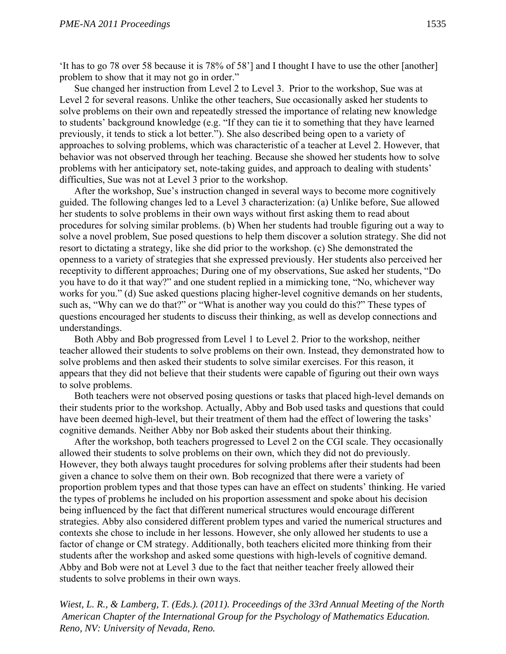'It has to go 78 over 58 because it is 78% of 58'] and I thought I have to use the other [another] problem to show that it may not go in order."

Sue changed her instruction from Level 2 to Level 3. Prior to the workshop, Sue was at Level 2 for several reasons. Unlike the other teachers, Sue occasionally asked her students to solve problems on their own and repeatedly stressed the importance of relating new knowledge to students' background knowledge (e.g. "If they can tie it to something that they have learned previously, it tends to stick a lot better."). She also described being open to a variety of approaches to solving problems, which was characteristic of a teacher at Level 2. However, that behavior was not observed through her teaching. Because she showed her students how to solve problems with her anticipatory set, note-taking guides, and approach to dealing with students' difficulties, Sue was not at Level 3 prior to the workshop.

After the workshop, Sue's instruction changed in several ways to become more cognitively guided. The following changes led to a Level 3 characterization: (a) Unlike before, Sue allowed her students to solve problems in their own ways without first asking them to read about procedures for solving similar problems. (b) When her students had trouble figuring out a way to solve a novel problem, Sue posed questions to help them discover a solution strategy. She did not resort to dictating a strategy, like she did prior to the workshop. (c) She demonstrated the openness to a variety of strategies that she expressed previously. Her students also perceived her receptivity to different approaches; During one of my observations, Sue asked her students, "Do you have to do it that way?" and one student replied in a mimicking tone, "No, whichever way works for you." (d) Sue asked questions placing higher-level cognitive demands on her students, such as, "Why can we do that?" or "What is another way you could do this?" These types of questions encouraged her students to discuss their thinking, as well as develop connections and understandings.

Both Abby and Bob progressed from Level 1 to Level 2. Prior to the workshop, neither teacher allowed their students to solve problems on their own. Instead, they demonstrated how to solve problems and then asked their students to solve similar exercises. For this reason, it appears that they did not believe that their students were capable of figuring out their own ways to solve problems.

Both teachers were not observed posing questions or tasks that placed high-level demands on their students prior to the workshop. Actually, Abby and Bob used tasks and questions that could have been deemed high-level, but their treatment of them had the effect of lowering the tasks' cognitive demands. Neither Abby nor Bob asked their students about their thinking.

After the workshop, both teachers progressed to Level 2 on the CGI scale. They occasionally allowed their students to solve problems on their own, which they did not do previously. However, they both always taught procedures for solving problems after their students had been given a chance to solve them on their own. Bob recognized that there were a variety of proportion problem types and that those types can have an effect on students' thinking. He varied the types of problems he included on his proportion assessment and spoke about his decision being influenced by the fact that different numerical structures would encourage different strategies. Abby also considered different problem types and varied the numerical structures and contexts she chose to include in her lessons. However, she only allowed her students to use a factor of change or CM strategy. Additionally, both teachers elicited more thinking from their students after the workshop and asked some questions with high-levels of cognitive demand. Abby and Bob were not at Level 3 due to the fact that neither teacher freely allowed their students to solve problems in their own ways.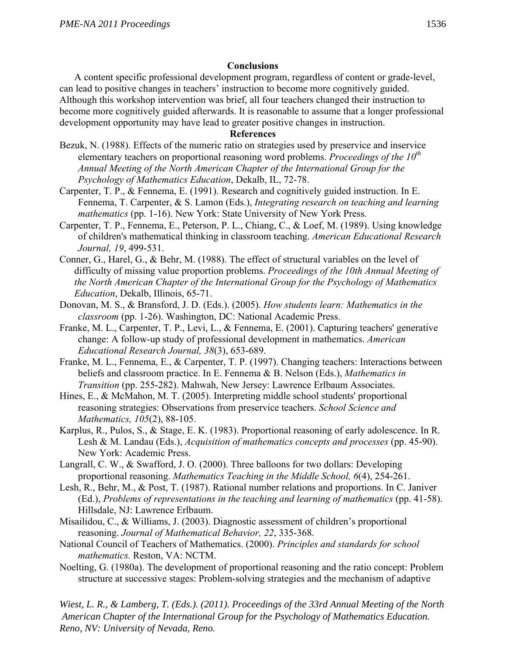## **Conclusions**

A content specific professional development program, regardless of content or grade-level, can lead to positive changes in teachers' instruction to become more cognitively guided. Although this workshop intervention was brief, all four teachers changed their instruction to become more cognitively guided afterwards. It is reasonable to assume that a longer professional development opportunity may have lead to greater positive changes in instruction.

### **References**

- Bezuk, N. (1988). Effects of the numeric ratio on strategies used by preservice and inservice elementary teachers on proportional reasoning word problems. *Proceedings of the 10<sup>th</sup> Annual Meeting of the North American Chapter of the International Group for the Psychology of Mathematics Education*, Dekalb, IL, 72-78.
- Carpenter, T. P., & Fennema, E. (1991). Research and cognitively guided instruction. In E. Fennema, T. Carpenter, & S. Lamon (Eds.), *Integrating research on teaching and learning mathematics* (pp. 1-16). New York: State University of New York Press.
- Carpenter, T. P., Fennema, E., Peterson, P. L., Chiang, C., & Loef, M. (1989). Using knowledge of children's mathematical thinking in classroom teaching. *American Educational Research Journal, 19*, 499-531.
- Conner, G., Harel, G., & Behr, M. (1988). The effect of structural variables on the level of difficulty of missing value proportion problems. *Proceedings of the 10th Annual Meeting of the North American Chapter of the International Group for the Psychology of Mathematics Education*, Dekalb, Illinois, 65-71.
- Donovan, M. S., & Bransford, J. D. (Eds.). (2005). *How students learn: Mathematics in the classroom* (pp. 1-26). Washington, DC: National Academic Press.
- Franke, M. L., Carpenter, T. P., Levi, L., & Fennema, E. (2001). Capturing teachers' generative change: A follow-up study of professional development in mathematics. *American Educational Research Journal, 38*(3), 653-689.
- Franke, M. L., Fennema, E., & Carpenter, T. P. (1997). Changing teachers: Interactions between beliefs and classroom practice. In E. Fennema & B. Nelson (Eds.), *Mathematics in Transition* (pp. 255-282). Mahwah, New Jersey: Lawrence Erlbaum Associates.
- Hines, E., & McMahon, M. T. (2005). Interpreting middle school students' proportional reasoning strategies: Observations from preservice teachers. *School Science and Mathematics, 105*(2), 88-105.
- Karplus, R., Pulos, S., & Stage, E. K. (1983). Proportional reasoning of early adolescence. In R. Lesh & M. Landau (Eds.), *Acquisition of mathematics concepts and processes* (pp. 45-90). New York: Academic Press.
- Langrall, C. W., & Swafford, J. O. (2000). Three balloons for two dollars: Developing proportional reasoning. *Mathematics Teaching in the Middle School, 6*(4), 254-261.
- Lesh, R., Behr, M., & Post, T. (1987). Rational number relations and proportions. In C. Janiver (Ed.), *Problems of representations in the teaching and learning of mathematics* (pp. 41-58). Hillsdale, NJ: Lawrence Erlbaum.
- Misailidou, C., & Williams, J. (2003). Diagnostic assessment of children's proportional reasoning. *Journal of Mathematical Behavior, 22*, 335-368.
- National Council of Teachers of Mathematics. (2000). *Principles and standards for school mathematics.* Reston, VA: NCTM.
- Noelting, G. (1980a). The development of proportional reasoning and the ratio concept: Problem structure at successive stages: Problem-solving strategies and the mechanism of adaptive